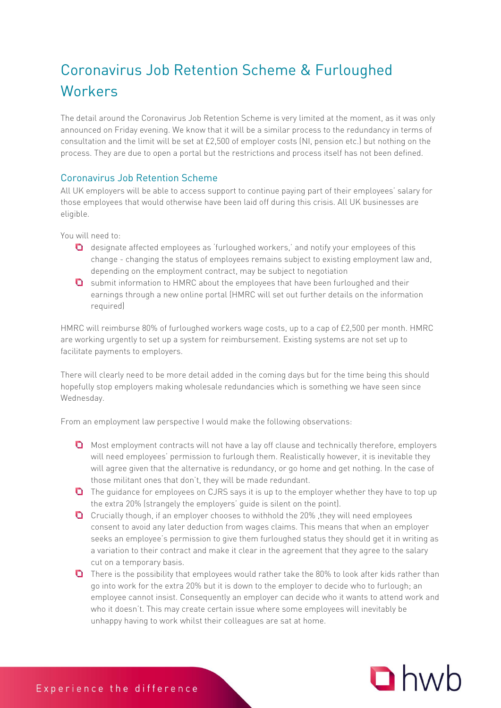## Coronavirus Job Retention Scheme & Furloughed

The detail around the Coronavirus Job Retention Scheme is very limited at the moment, as it was only announced on Friday evening. We know that it will be a similar process to the redundancy in terms of consultation and the limit will be set at £2,500 of employer costs (NI, pension etc.) but nothing on the process. They are due to open a portal but the restrictions and process itself has not been defined.

## Coronavirus Job Retention Scheme

All UK employers will be able to access support to continue paying part of their employees' salary for those employees that would otherwise have been laid off during this crisis. All UK businesses are eligible.

You will need to:

- $\Box$  designate affected employees as 'furloughed workers,' and notify your employees of this change - changing the status of employees remains subject to existing employment law and, depending on the employment contract, may be subject to negotiation
- **Q** submit information to HMRC about the employees that have been furloughed and their earnings through a new online portal (HMRC will set out further details on the information required)

HMRC will reimburse 80% of furloughed workers wage costs, up to a cap of £2,500 per month. HMRC are working urgently to set up a system for reimbursement. Existing systems are not set up to facilitate payments to employers.

There will clearly need to be more detail added in the coming days but for the time being this should hopefully stop employers making wholesale redundancies which is something we have seen since Wednesday.

From an employment law perspective I would make the following observations:

- **O** Most employment contracts will not have a lay off clause and technically therefore, employers will need employees' permission to furlough them. Realistically however, it is inevitable they will agree given that the alternative is redundancy, or go home and get nothing. In the case of those militant ones that don't, they will be made redundant.
- **O** The guidance for employees on CJRS says it is up to the employer whether they have to top up the extra 20% (strangely the employers' guide is silent on the point).
- Crucially though, if an employer chooses to withhold the 20% ,they will need employees consent to avoid any later deduction from wages claims. This means that when an employer seeks an employee's permission to give them furloughed status they should get it in writing as a variation to their contract and make it clear in the agreement that they agree to the salary cut on a temporary basis.
- **O** There is the possibility that employees would rather take the 80% to look after kids rather than go into work for the extra 20% but it is down to the employer to decide who to furlough; an employee cannot insist. Consequently an employer can decide who it wants to attend work and who it doesn't. This may create certain issue where some employees will inevitably be unhappy having to work whilst their colleagues are sat at home.